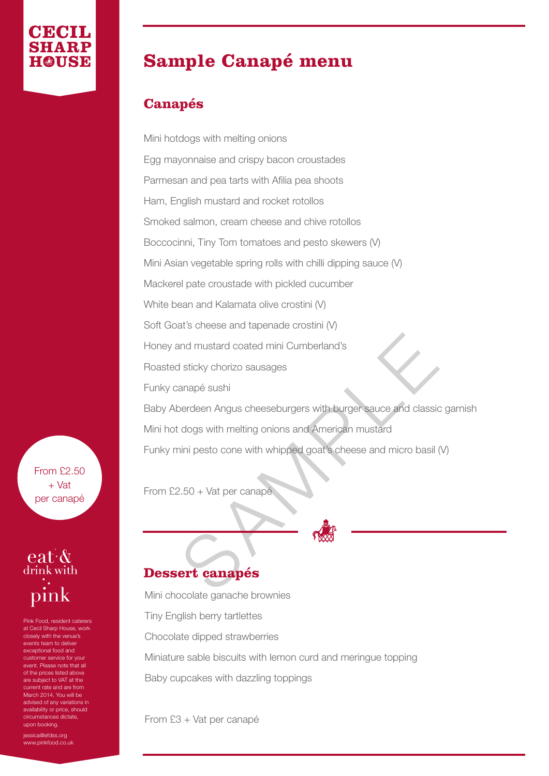## **Sample Canapé menu**

#### **Canapés**

and mustard coated mini Cumberland's<br>
Sa sticky chorizo sausages<br>
anapé sushi<br>
berdeen Angus cheeseburgers with burger sauce and classic<br>
dogs with melting onions and American mustard<br>
ini pesto cone with whipped goat's ch Mini hotdogs with melting onions Egg mayonnaise and crispy bacon croustades Parmesan and pea tarts with Afilia pea shoots Ham, English mustard and rocket rotollos Smoked salmon, cream cheese and chive rotollos Boccocinni, Tiny Tom tomatoes and pesto skewers (V) Mini Asian vegetable spring rolls with chilli dipping sauce (V) Mackerel pate croustade with pickled cucumber White bean and Kalamata olive crostini (V) Soft Goat's cheese and tapenade crostini (V) Honey and mustard coated mini Cumberland's Roasted sticky chorizo sausages Funky canapé sushi Baby Aberdeen Angus cheeseburgers with burger sauce and classic garnish Mini hot dogs with melting onions and American mustard Funky mini pesto cone with whipped goat's cheese and micro basil (V)

From £2.50 + Vat per canapé

#### **Dessert canapés**

Mini chocolate ganache brownies Tiny English berry tartlettes Chocolate dipped strawberries Miniature sable biscuits with lemon curd and meringue topping Baby cupcakes with dazzling toppings

From £3 + Vat per canapé

From £2.50 + Vat per canapé



Pink Food, resident caterers at Cecil Sharp House, work closely with the venue's events team to deliver exceptional food and customer service for your event. Please note that all of the prices listed above are subject to VAT at the urrent rate and are from March 2014. You will be advised of any variations in availability or price, should circumstances dictate, upon booking.

iessica@efdss.org www.pinkfood.co.uk